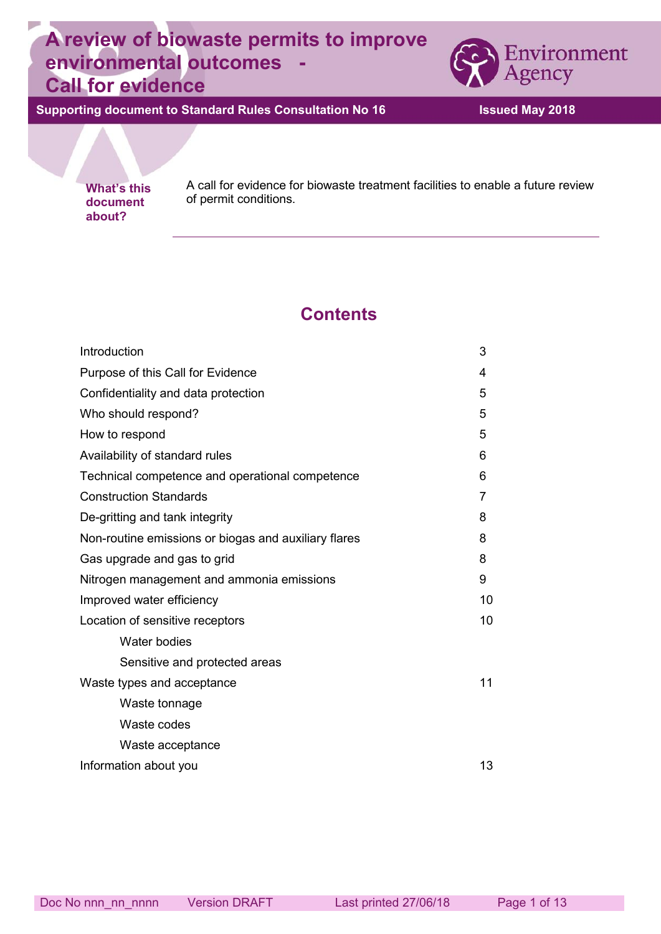# **A review of biowaste permits to improve environmental outcomes - Call for evidence**



**Supporting document to Standard Rules Consultation No 16 Issued May 2018**

**about?** 

**What's this** A call for evidence for biowaste treatment facilities to enable a future review decument of permit conditions **document** of permit conditions.

# **Contents**

| Introduction                                         | 3  |
|------------------------------------------------------|----|
| Purpose of this Call for Evidence                    | 4  |
| Confidentiality and data protection                  | 5  |
| Who should respond?                                  | 5  |
| How to respond                                       | 5  |
| Availability of standard rules                       | 6  |
| Technical competence and operational competence      | 6  |
| <b>Construction Standards</b>                        | 7  |
| De-gritting and tank integrity                       | 8  |
| Non-routine emissions or biogas and auxiliary flares |    |
| Gas upgrade and gas to grid                          |    |
| Nitrogen management and ammonia emissions            |    |
| Improved water efficiency                            | 10 |
| Location of sensitive receptors                      | 10 |
| Water bodies                                         |    |
| Sensitive and protected areas                        |    |
| Waste types and acceptance                           |    |
| Waste tonnage                                        |    |
| Waste codes                                          |    |
| Waste acceptance                                     |    |
| Information about you                                | 13 |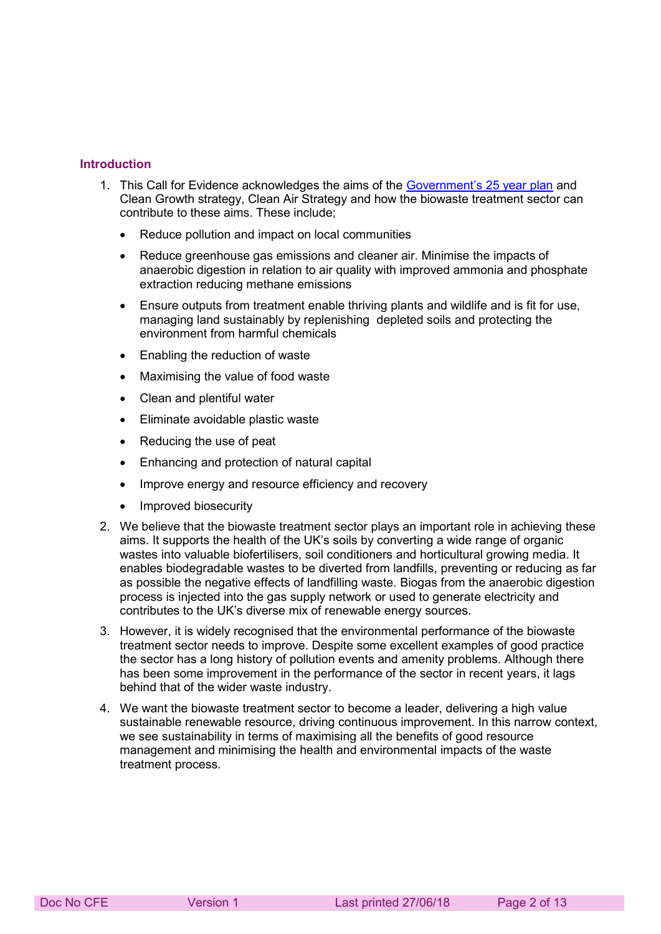#### **Introduction**

- 1. This Call for Evidence acknowledges the aims of the [Government's 25 year plan](https://www.gov.uk/government/uploads/system/uploads/attachment_data/file/673203/25-year-environment-plan.pdf) and Clean Growth strategy, Clean Air Strategy and how the biowaste treatment sector can contribute to these aims. These include;
	- Reduce pollution and impact on local communities
	- Reduce greenhouse gas emissions and cleaner air. Minimise the impacts of anaerobic digestion in relation to air quality with improved ammonia and phosphate extraction reducing methane emissions
	- Ensure outputs from treatment enable thriving plants and wildlife and is fit for use, managing land sustainably by replenishing depleted soils and protecting the environment from harmful chemicals
	- Enabling the reduction of waste
	- Maximising the value of food waste
	- Clean and plentiful water
	- Eliminate avoidable plastic waste
	- Reducing the use of peat
	- Enhancing and protection of natural capital
	- Improve energy and resource efficiency and recovery
	- Improved biosecurity
- 2. We believe that the biowaste treatment sector plays an important role in achieving these aims. It supports the health of the UK's soils by converting a wide range of organic wastes into valuable biofertilisers, soil conditioners and horticultural growing media. It enables biodegradable wastes to be diverted from landfills, preventing or reducing as far as possible the negative effects of landfilling waste. Biogas from the anaerobic digestion process is injected into the gas supply network or used to generate electricity and contributes to the UK's diverse mix of renewable energy sources.
- 3. However, it is widely recognised that the environmental performance of the biowaste treatment sector needs to improve. Despite some excellent examples of good practice the sector has a long history of pollution events and amenity problems. Although there has been some improvement in the performance of the sector in recent years, it lags behind that of the wider waste industry.
- 4. We want the biowaste treatment sector to become a leader, delivering a high value sustainable renewable resource, driving continuous improvement. In this narrow context, we see sustainability in terms of maximising all the benefits of good resource management and minimising the health and environmental impacts of the waste treatment process.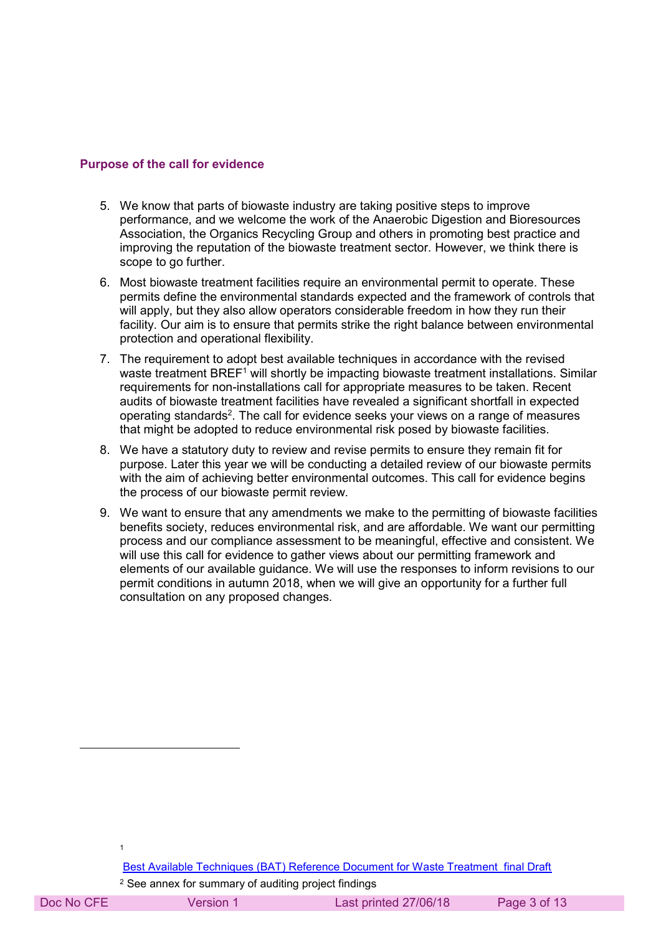#### **Purpose of the call for evidence**

- 5. We know that parts of biowaste industry are taking positive steps to improve performance, and we welcome the work of the Anaerobic Digestion and Bioresources Association, the Organics Recycling Group and others in promoting best practice and improving the reputation of the biowaste treatment sector. However, we think there is scope to go further.
- 6. Most biowaste treatment facilities require an environmental permit to operate. These permits define the environmental standards expected and the framework of controls that will apply, but they also allow operators considerable freedom in how they run their facility. Our aim is to ensure that permits strike the right balance between environmental protection and operational flexibility.
- 7. The requirement to adopt best available techniques in accordance with the revised waste treatment BREF1 will shortly be impacting biowaste treatment installations. Similar requirements for non-installations call for appropriate measures to be taken. Recent audits of biowaste treatment facilities have revealed a significant shortfall in expected operating standards<sup>2</sup>. The call for evidence seeks your views on a range of measures that might be adopted to reduce environmental risk posed by biowaste facilities.
- 8. We have a statutory duty to review and revise permits to ensure they remain fit for purpose. Later this year we will be conducting a detailed review of our biowaste permits with the aim of achieving better environmental outcomes. This call for evidence begins the process of our biowaste permit review.
- 9. We want to ensure that any amendments we make to the permitting of biowaste facilities benefits society, reduces environmental risk, and are affordable. We want our permitting process and our compliance assessment to be meaningful, effective and consistent. We will use this call for evidence to gather views about our permitting framework and elements of our available guidance. We will use the responses to inform revisions to our permit conditions in autumn 2018, when we will give an opportunity for a further full consultation on any proposed changes.

2 See annex for summary of auditing project findings

-

1

Doc No CFE Version 1 Last printed 27/06/18 Page 3 of 13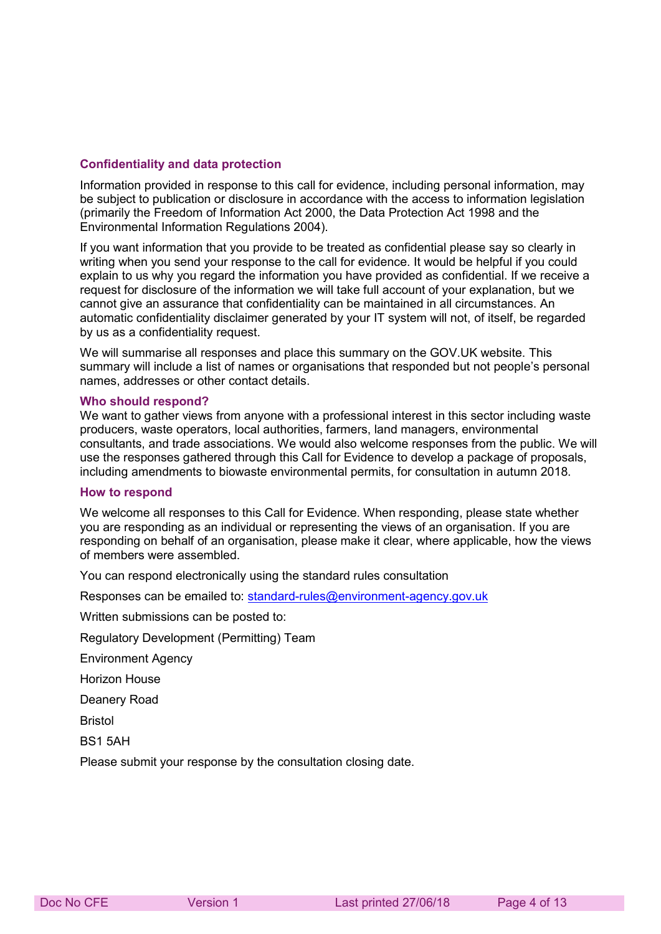#### **Confidentiality and data protection**

Information provided in response to this call for evidence, including personal information, may be subject to publication or disclosure in accordance with the access to information legislation (primarily the Freedom of Information Act 2000, the Data Protection Act 1998 and the Environmental Information Regulations 2004).

If you want information that you provide to be treated as confidential please say so clearly in writing when you send your response to the call for evidence. It would be helpful if you could explain to us why you regard the information you have provided as confidential. If we receive a request for disclosure of the information we will take full account of your explanation, but we cannot give an assurance that confidentiality can be maintained in all circumstances. An automatic confidentiality disclaimer generated by your IT system will not, of itself, be regarded by us as a confidentiality request.

We will summarise all responses and place this summary on the GOV.UK website. This summary will include a list of names or organisations that responded but not people's personal names, addresses or other contact details.

#### **Who should respond?**

We want to gather views from anyone with a professional interest in this sector including waste producers, waste operators, local authorities, farmers, land managers, environmental consultants, and trade associations. We would also welcome responses from the public. We will use the responses gathered through this Call for Evidence to develop a package of proposals, including amendments to biowaste environmental permits, for consultation in autumn 2018.

#### **How to respond**

We welcome all responses to this Call for Evidence. When responding, please state whether you are responding as an individual or representing the views of an organisation. If you are responding on behalf of an organisation, please make it clear, where applicable, how the views of members were assembled.

You can respond electronically using the standard rules consultation

Responses can be emailed to: [standard-rules@environment-agency.gov.uk](mailto:standard-rules@environment-agency.gov.uk)

Written submissions can be posted to:

Regulatory Development (Permitting) Team

Environment Agency

Horizon House

Deanery Road

Bristol

BS1 5AH

Please submit your response by the consultation closing date.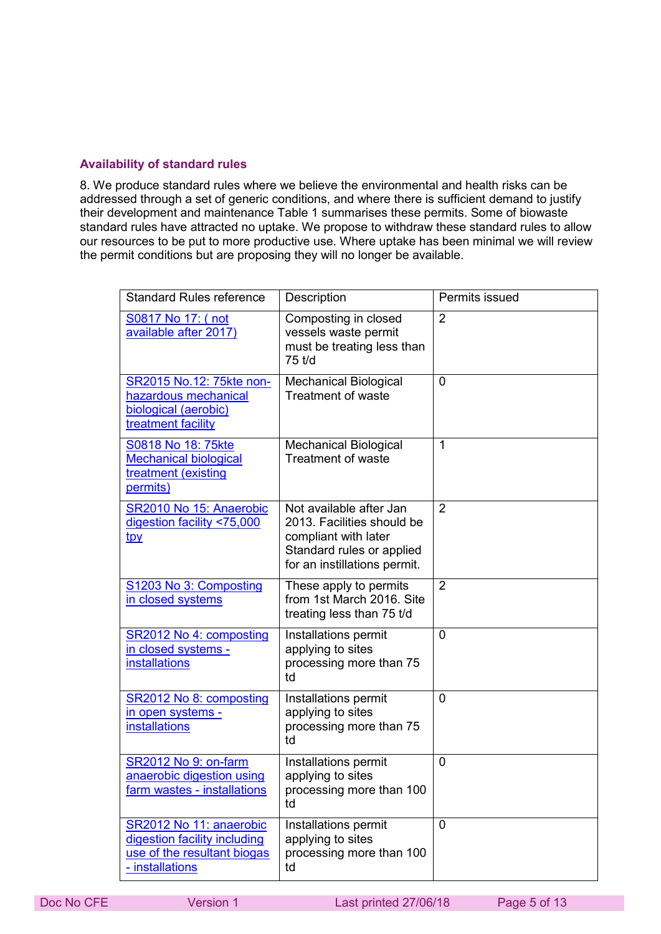# **Availability of standard rules**

8. We produce standard rules where we believe the environmental and health risks can be addressed through a set of generic conditions, and where there is sufficient demand to justify their development and maintenance Table 1 summarises these permits. Some of biowaste standard rules have attracted no uptake. We propose to withdraw these standard rules to allow our resources to be put to more productive use. Where uptake has been minimal we will review the permit conditions but are proposing they will no longer be available.

| <b>Standard Rules reference</b>                                                                           | Description                                                                                                                                | Permits issued |
|-----------------------------------------------------------------------------------------------------------|--------------------------------------------------------------------------------------------------------------------------------------------|----------------|
| S0817 No 17: (not<br>available after 2017)                                                                | Composting in closed<br>vessels waste permit<br>must be treating less than<br>75 t/d                                                       | $\overline{2}$ |
| SR2015 No.12: 75kte non-<br>hazardous mechanical<br>biological (aerobic)<br>treatment facility            | <b>Mechanical Biological</b><br><b>Treatment of waste</b>                                                                                  | 0              |
| S0818 No 18: 75kte<br><b>Mechanical biological</b><br>treatment (existing<br>permits)                     | <b>Mechanical Biological</b><br><b>Treatment of waste</b>                                                                                  | 1              |
| SR2010 No 15: Anaerobic<br>digestion facility <75,000<br><u>tpy</u>                                       | Not available after Jan<br>2013. Facilities should be<br>compliant with later<br>Standard rules or applied<br>for an instillations permit. | $\overline{2}$ |
| S1203 No 3: Composting<br>in closed systems                                                               | These apply to permits<br>from 1st March 2016. Site<br>treating less than 75 t/d                                                           | $\overline{2}$ |
| SR2012 No 4: composting<br>in closed systems -<br><b>installations</b>                                    | Installations permit<br>applying to sites<br>processing more than 75<br>td                                                                 | 0              |
| SR2012 No 8: composting<br>in open systems -<br><i>installations</i>                                      | Installations permit<br>applying to sites<br>processing more than 75<br>td                                                                 | 0              |
| SR2012 No 9: on-farm<br>anaerobic digestion using<br><u>farm wastes - installations</u>                   | Installations permit<br>applying to sites<br>processing more than 100<br>td                                                                | 0              |
| SR2012 No 11: anaerobic<br>digestion facility including<br>use of the resultant biogas<br>- installations | Installations permit<br>applying to sites<br>processing more than 100<br>td                                                                | 0              |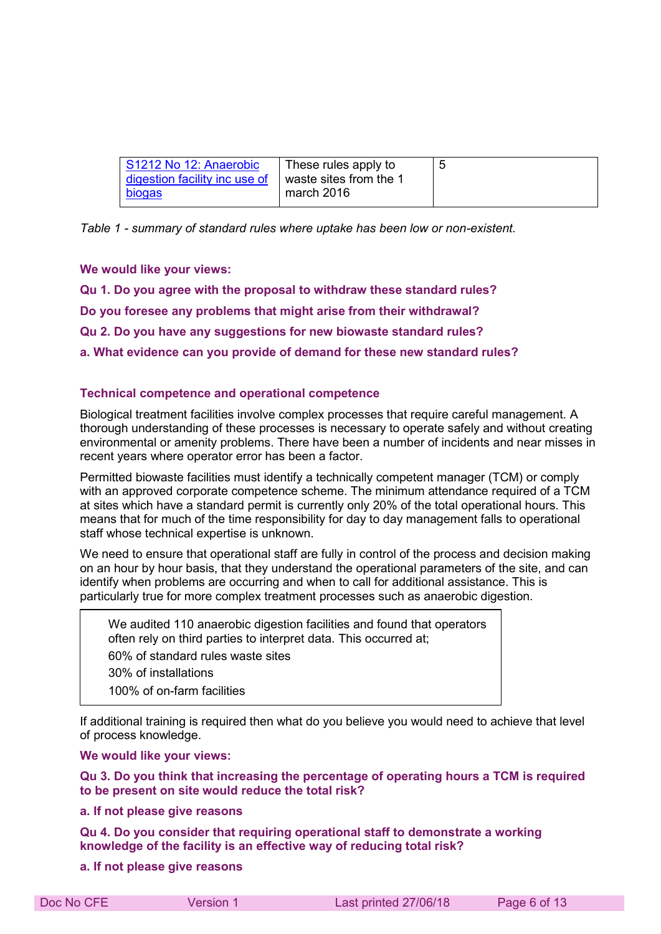| S1212 No 12: Anaerobic        | These rules apply to   | b |
|-------------------------------|------------------------|---|
| digestion facility inc use of | waste sites from the 1 |   |
| <b>biogas</b>                 | march 2016             |   |

*Table 1 - summary of standard rules where uptake has been low or non-existent.*

**We would like your views:**

**Qu 1. Do you agree with the proposal to withdraw these standard rules?** 

**Do you foresee any problems that might arise from their withdrawal?** 

**Qu 2. Do you have any suggestions for new biowaste standard rules?** 

**a. What evidence can you provide of demand for these new standard rules?**

## **Technical competence and operational competence**

Biological treatment facilities involve complex processes that require careful management. A thorough understanding of these processes is necessary to operate safely and without creating environmental or amenity problems. There have been a number of incidents and near misses in recent years where operator error has been a factor.

Permitted biowaste facilities must identify a technically competent manager (TCM) or comply with an approved corporate competence scheme. The minimum attendance required of a TCM at sites which have a standard permit is currently only 20% of the total operational hours. This means that for much of the time responsibility for day to day management falls to operational staff whose technical expertise is unknown.

We need to ensure that operational staff are fully in control of the process and decision making on an hour by hour basis, that they understand the operational parameters of the site, and can identify when problems are occurring and when to call for additional assistance. This is particularly true for more complex treatment processes such as anaerobic digestion.

We audited 110 anaerobic digestion facilities and found that operators often rely on third parties to interpret data. This occurred at; 60% of standard rules waste sites 30% of installations 100% of on-farm facilities

If additional training is required then what do you believe you would need to achieve that level of process knowledge.

**We would like your views:** 

**Qu 3. Do you think that increasing the percentage of operating hours a TCM is required to be present on site would reduce the total risk?** 

**a. If not please give reasons** 

**Qu 4. Do you consider that requiring operational staff to demonstrate a working knowledge of the facility is an effective way of reducing total risk?** 

**a. If not please give reasons**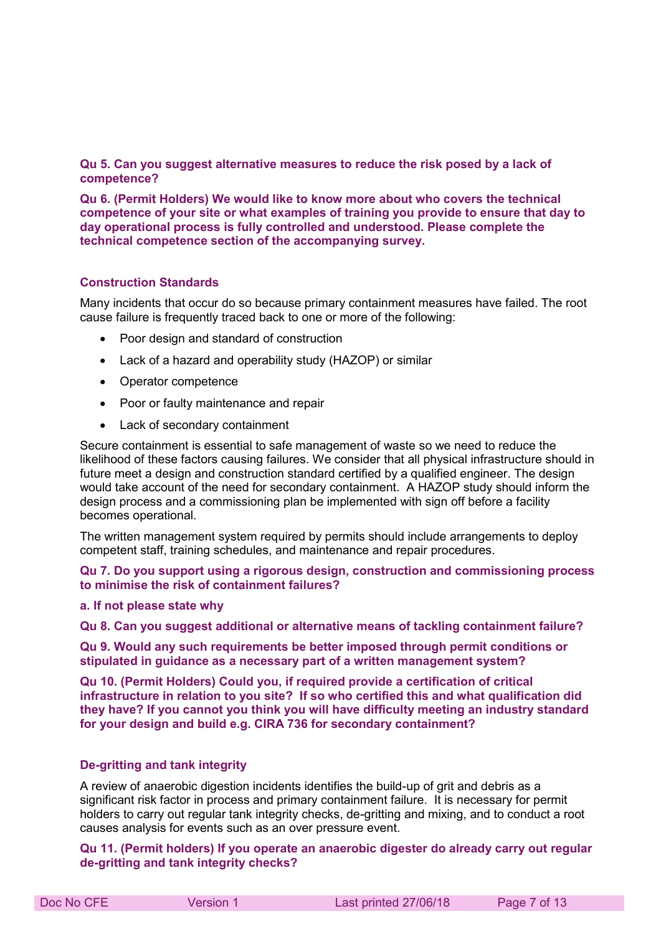**Qu 5. Can you suggest alternative measures to reduce the risk posed by a lack of competence?** 

**Qu 6. (Permit Holders) We would like to know more about who covers the technical competence of your site or what examples of training you provide to ensure that day to day operational process is fully controlled and understood. Please complete the technical competence section of the accompanying survey.** 

## **Construction Standards**

Many incidents that occur do so because primary containment measures have failed. The root cause failure is frequently traced back to one or more of the following:

- Poor design and standard of construction
- Lack of a hazard and operability study (HAZOP) or similar
- Operator competence
- Poor or faulty maintenance and repair
- Lack of secondary containment

Secure containment is essential to safe management of waste so we need to reduce the likelihood of these factors causing failures. We consider that all physical infrastructure should in future meet a design and construction standard certified by a qualified engineer. The design would take account of the need for secondary containment. A HAZOP study should inform the design process and a commissioning plan be implemented with sign off before a facility becomes operational.

The written management system required by permits should include arrangements to deploy competent staff, training schedules, and maintenance and repair procedures.

#### **Qu 7. Do you support using a rigorous design, construction and commissioning process to minimise the risk of containment failures?**

#### **a. If not please state why**

**Qu 8. Can you suggest additional or alternative means of tackling containment failure?** 

**Qu 9. Would any such requirements be better imposed through permit conditions or stipulated in guidance as a necessary part of a written management system?** 

**Qu 10. (Permit Holders) Could you, if required provide a certification of critical infrastructure in relation to you site? If so who certified this and what qualification did they have? If you cannot you think you will have difficulty meeting an industry standard for your design and build e.g. CIRA 736 for secondary containment?** 

#### **De-gritting and tank integrity**

A review of anaerobic digestion incidents identifies the build-up of grit and debris as a significant risk factor in process and primary containment failure. It is necessary for permit holders to carry out regular tank integrity checks, de-gritting and mixing, and to conduct a root causes analysis for events such as an over pressure event.

**Qu 11. (Permit holders) If you operate an anaerobic digester do already carry out regular de-gritting and tank integrity checks?**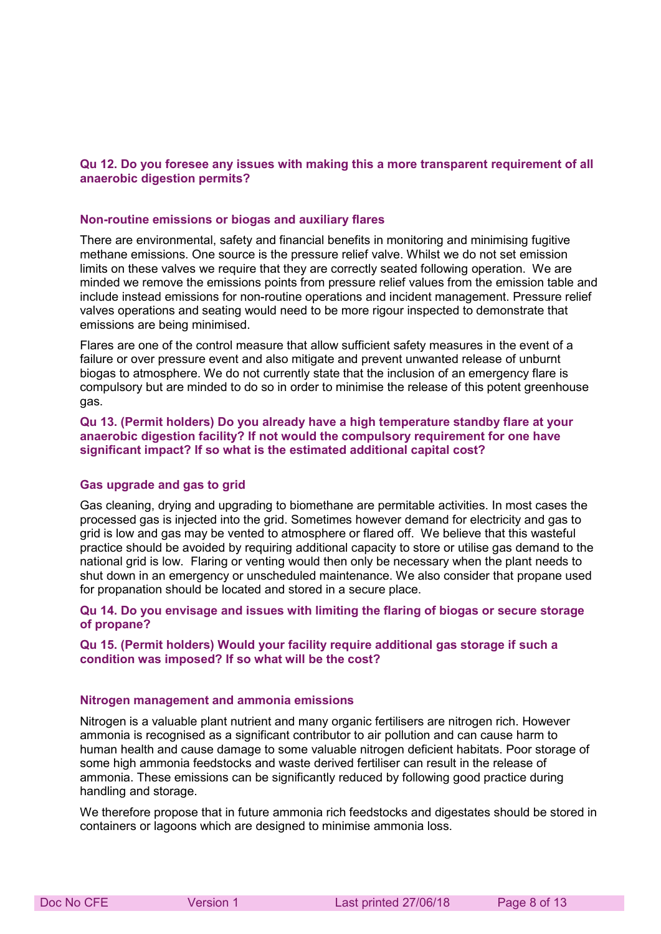## **Qu 12. Do you foresee any issues with making this a more transparent requirement of all anaerobic digestion permits?**

#### **Non-routine emissions or biogas and auxiliary flares**

There are environmental, safety and financial benefits in monitoring and minimising fugitive methane emissions. One source is the pressure relief valve. Whilst we do not set emission limits on these valves we require that they are correctly seated following operation. We are minded we remove the emissions points from pressure relief values from the emission table and include instead emissions for non-routine operations and incident management. Pressure relief valves operations and seating would need to be more rigour inspected to demonstrate that emissions are being minimised.

Flares are one of the control measure that allow sufficient safety measures in the event of a failure or over pressure event and also mitigate and prevent unwanted release of unburnt biogas to atmosphere. We do not currently state that the inclusion of an emergency flare is compulsory but are minded to do so in order to minimise the release of this potent greenhouse gas.

**Qu 13. (Permit holders) Do you already have a high temperature standby flare at your anaerobic digestion facility? If not would the compulsory requirement for one have significant impact? If so what is the estimated additional capital cost?** 

#### **Gas upgrade and gas to grid**

Gas cleaning, drying and upgrading to biomethane are permitable activities. In most cases the processed gas is injected into the grid. Sometimes however demand for electricity and gas to grid is low and gas may be vented to atmosphere or flared off. We believe that this wasteful practice should be avoided by requiring additional capacity to store or utilise gas demand to the national grid is low. Flaring or venting would then only be necessary when the plant needs to shut down in an emergency or unscheduled maintenance. We also consider that propane used for propanation should be located and stored in a secure place.

#### **Qu 14. Do you envisage and issues with limiting the flaring of biogas or secure storage of propane?**

#### **Qu 15. (Permit holders) Would your facility require additional gas storage if such a condition was imposed? If so what will be the cost?**

#### **Nitrogen management and ammonia emissions**

Nitrogen is a valuable plant nutrient and many organic fertilisers are nitrogen rich. However ammonia is recognised as a significant contributor to air pollution and can cause harm to human health and cause damage to some valuable nitrogen deficient habitats. Poor storage of some high ammonia feedstocks and waste derived fertiliser can result in the release of ammonia. These emissions can be significantly reduced by following good practice during handling and storage.

We therefore propose that in future ammonia rich feedstocks and digestates should be stored in containers or lagoons which are designed to minimise ammonia loss.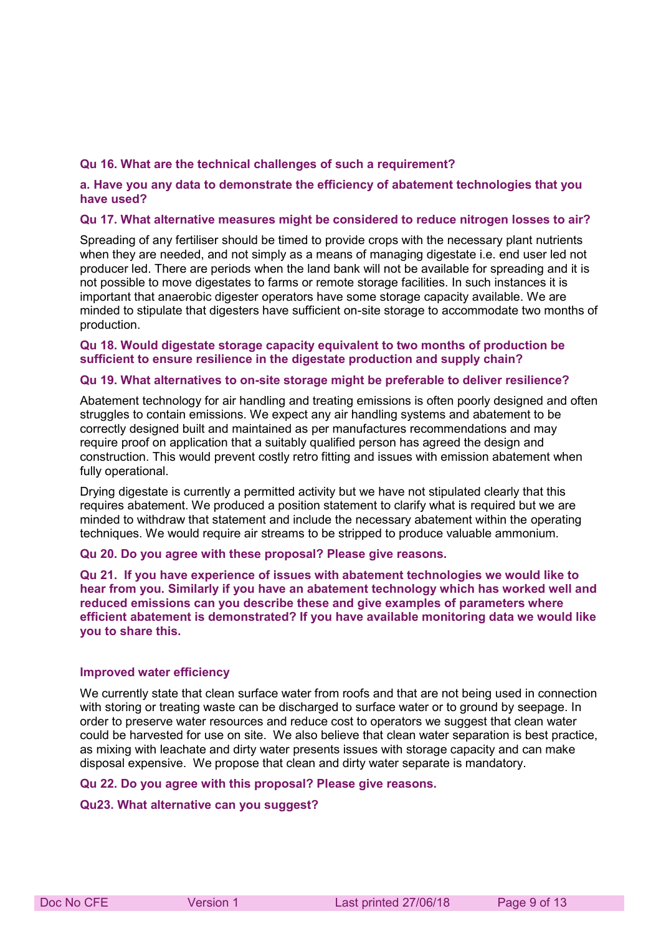#### **Qu 16. What are the technical challenges of such a requirement?**

#### **a. Have you any data to demonstrate the efficiency of abatement technologies that you have used?**

#### **Qu 17. What alternative measures might be considered to reduce nitrogen losses to air?**

Spreading of any fertiliser should be timed to provide crops with the necessary plant nutrients when they are needed, and not simply as a means of managing digestate i.e. end user led not producer led. There are periods when the land bank will not be available for spreading and it is not possible to move digestates to farms or remote storage facilities. In such instances it is important that anaerobic digester operators have some storage capacity available. We are minded to stipulate that digesters have sufficient on-site storage to accommodate two months of production.

#### **Qu 18. Would digestate storage capacity equivalent to two months of production be sufficient to ensure resilience in the digestate production and supply chain?**

#### **Qu 19. What alternatives to on-site storage might be preferable to deliver resilience?**

Abatement technology for air handling and treating emissions is often poorly designed and often struggles to contain emissions. We expect any air handling systems and abatement to be correctly designed built and maintained as per manufactures recommendations and may require proof on application that a suitably qualified person has agreed the design and construction. This would prevent costly retro fitting and issues with emission abatement when fully operational.

Drying digestate is currently a permitted activity but we have not stipulated clearly that this requires abatement. We produced a position statement to clarify what is required but we are minded to withdraw that statement and include the necessary abatement within the operating techniques. We would require air streams to be stripped to produce valuable ammonium.

#### **Qu 20. Do you agree with these proposal? Please give reasons.**

**Qu 21. If you have experience of issues with abatement technologies we would like to hear from you. Similarly if you have an abatement technology which has worked well and reduced emissions can you describe these and give examples of parameters where efficient abatement is demonstrated? If you have available monitoring data we would like you to share this.** 

#### **Improved water efficiency**

We currently state that clean surface water from roofs and that are not being used in connection with storing or treating waste can be discharged to surface water or to ground by seepage. In order to preserve water resources and reduce cost to operators we suggest that clean water could be harvested for use on site. We also believe that clean water separation is best practice, as mixing with leachate and dirty water presents issues with storage capacity and can make disposal expensive. We propose that clean and dirty water separate is mandatory.

#### **Qu 22. Do you agree with this proposal? Please give reasons.**

#### **Qu23. What alternative can you suggest?**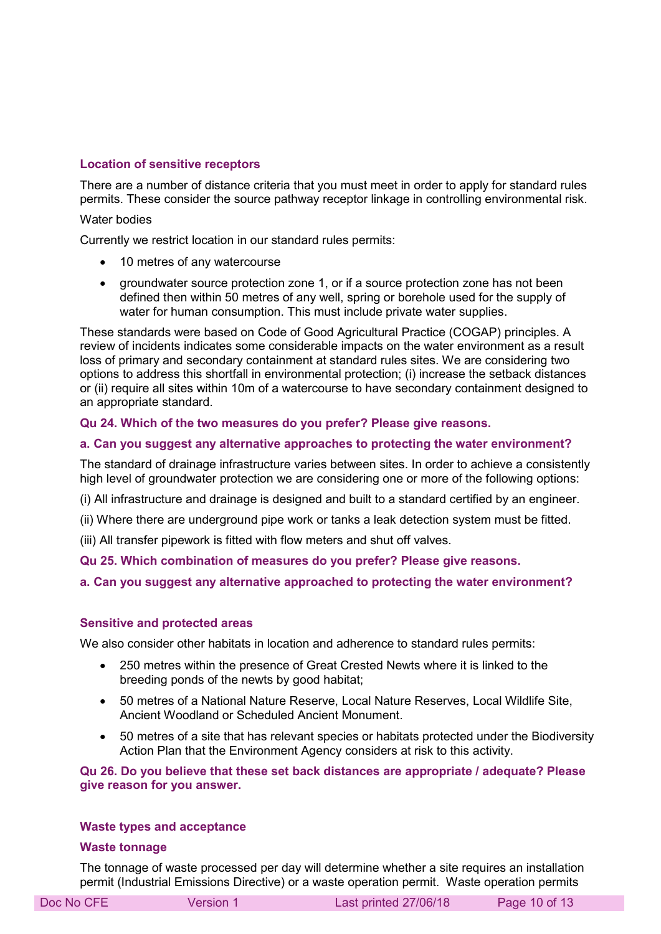## **Location of sensitive receptors**

There are a number of distance criteria that you must meet in order to apply for standard rules permits. These consider the source pathway receptor linkage in controlling environmental risk.

#### Water bodies

Currently we restrict location in our standard rules permits:

- 10 metres of any watercourse
- groundwater source protection zone 1, or if a source protection zone has not been defined then within 50 metres of any well, spring or borehole used for the supply of water for human consumption. This must include private water supplies.

These standards were based on Code of Good Agricultural Practice (COGAP) principles. A review of incidents indicates some considerable impacts on the water environment as a result loss of primary and secondary containment at standard rules sites. We are considering two options to address this shortfall in environmental protection; (i) increase the setback distances or (ii) require all sites within 10m of a watercourse to have secondary containment designed to an appropriate standard.

## **Qu 24. Which of the two measures do you prefer? Please give reasons.**

#### **a. Can you suggest any alternative approaches to protecting the water environment?**

The standard of drainage infrastructure varies between sites. In order to achieve a consistently high level of groundwater protection we are considering one or more of the following options:

(i) All infrastructure and drainage is designed and built to a standard certified by an engineer.

(ii) Where there are underground pipe work or tanks a leak detection system must be fitted.

(iii) All transfer pipework is fitted with flow meters and shut off valves.

**Qu 25. Which combination of measures do you prefer? Please give reasons.** 

## **a. Can you suggest any alternative approached to protecting the water environment?**

#### **Sensitive and protected areas**

We also consider other habitats in location and adherence to standard rules permits:

- 250 metres within the presence of Great Crested Newts where it is linked to the breeding ponds of the newts by good habitat;
- 50 metres of a National Nature Reserve, Local Nature Reserves, Local Wildlife Site, Ancient Woodland or Scheduled Ancient Monument.
- 50 metres of a site that has relevant species or habitats protected under the Biodiversity Action Plan that the Environment Agency considers at risk to this activity.

**Qu 26. Do you believe that these set back distances are appropriate / adequate? Please give reason for you answer.** 

#### **Waste types and acceptance**

#### **Waste tonnage**

The tonnage of waste processed per day will determine whether a site requires an installation permit (Industrial Emissions Directive) or a waste operation permit. Waste operation permits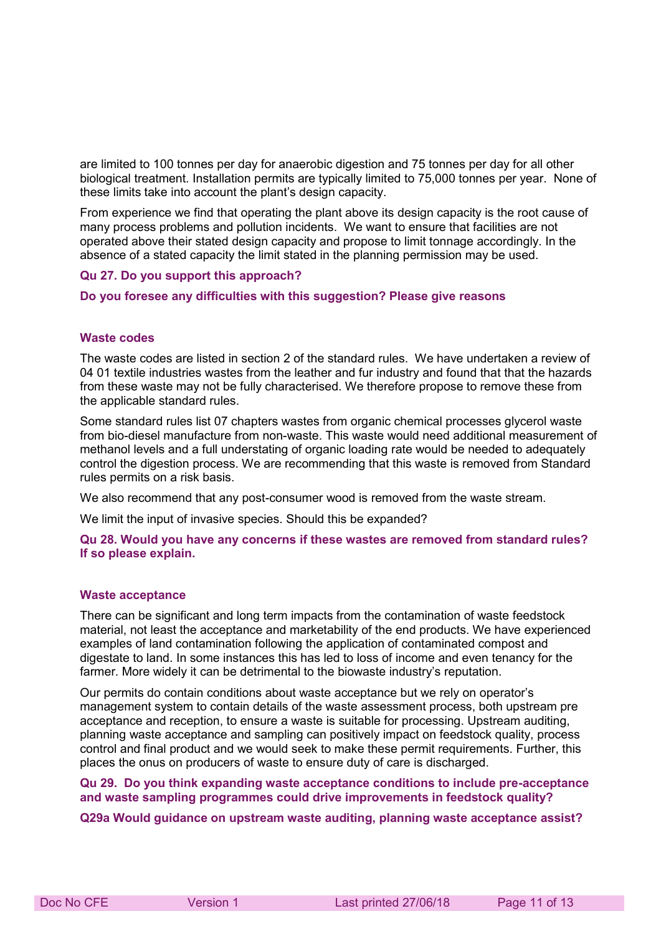are limited to 100 tonnes per day for anaerobic digestion and 75 tonnes per day for all other biological treatment. Installation permits are typically limited to 75,000 tonnes per year. None of these limits take into account the plant's design capacity.

From experience we find that operating the plant above its design capacity is the root cause of many process problems and pollution incidents. We want to ensure that facilities are not operated above their stated design capacity and propose to limit tonnage accordingly. In the absence of a stated capacity the limit stated in the planning permission may be used.

#### **Qu 27. Do you support this approach?**

#### **Do you foresee any difficulties with this suggestion? Please give reasons**

#### **Waste codes**

The waste codes are listed in section 2 of the standard rules. We have undertaken a review of 04 01 textile industries wastes from the leather and fur industry and found that that the hazards from these waste may not be fully characterised. We therefore propose to remove these from the applicable standard rules.

Some standard rules list 07 chapters wastes from organic chemical processes glycerol waste from bio-diesel manufacture from non-waste. This waste would need additional measurement of methanol levels and a full understating of organic loading rate would be needed to adequately control the digestion process. We are recommending that this waste is removed from Standard rules permits on a risk basis.

We also recommend that any post-consumer wood is removed from the waste stream.

We limit the input of invasive species. Should this be expanded?

**Qu 28. Would you have any concerns if these wastes are removed from standard rules? If so please explain.** 

#### **Waste acceptance**

There can be significant and long term impacts from the contamination of waste feedstock material, not least the acceptance and marketability of the end products. We have experienced examples of land contamination following the application of contaminated compost and digestate to land. In some instances this has led to loss of income and even tenancy for the farmer. More widely it can be detrimental to the biowaste industry's reputation.

Our permits do contain conditions about waste acceptance but we rely on operator's management system to contain details of the waste assessment process, both upstream pre acceptance and reception, to ensure a waste is suitable for processing. Upstream auditing, planning waste acceptance and sampling can positively impact on feedstock quality, process control and final product and we would seek to make these permit requirements. Further, this places the onus on producers of waste to ensure duty of care is discharged.

#### **Qu 29. Do you think expanding waste acceptance conditions to include pre-acceptance and waste sampling programmes could drive improvements in feedstock quality?**

#### **Q29a Would guidance on upstream waste auditing, planning waste acceptance assist?**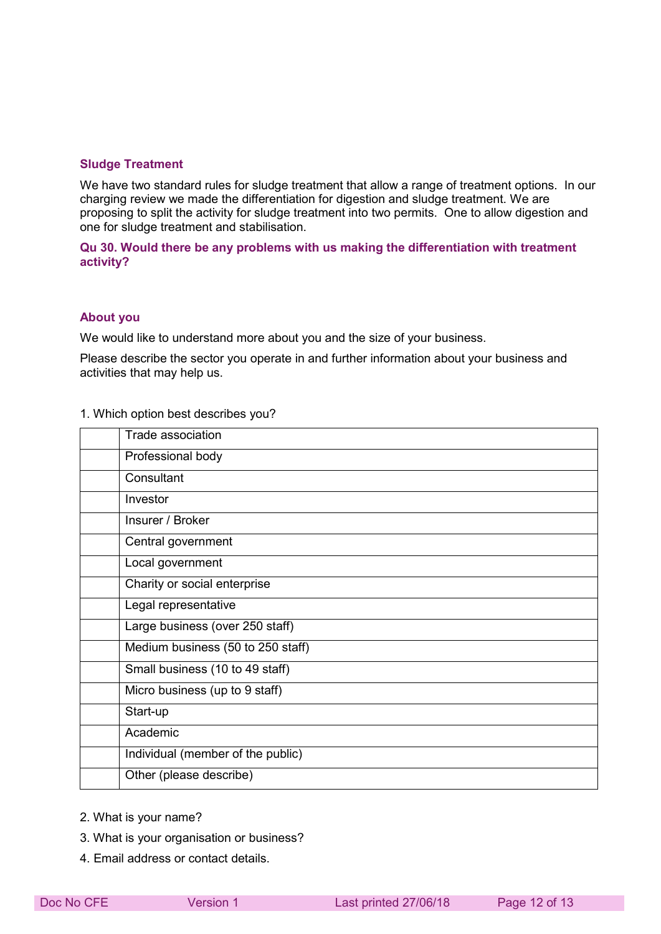#### **Sludge Treatment**

We have two standard rules for sludge treatment that allow a range of treatment options. In our charging review we made the differentiation for digestion and sludge treatment. We are proposing to split the activity for sludge treatment into two permits. One to allow digestion and one for sludge treatment and stabilisation.

## **Qu 30. Would there be any problems with us making the differentiation with treatment activity?**

#### **About you**

We would like to understand more about you and the size of your business.

Please describe the sector you operate in and further information about your business and activities that may help us.

#### 1. Which option best describes you?

| Trade association                 |
|-----------------------------------|
| Professional body                 |
| Consultant                        |
| Investor                          |
| Insurer / Broker                  |
| Central government                |
| Local government                  |
| Charity or social enterprise      |
| Legal representative              |
| Large business (over 250 staff)   |
| Medium business (50 to 250 staff) |
| Small business (10 to 49 staff)   |
| Micro business (up to 9 staff)    |
| Start-up                          |
| Academic                          |
| Individual (member of the public) |
| Other (please describe)           |

- 2. What is your name?
- 3. What is your organisation or business?
- 4. Email address or contact details.